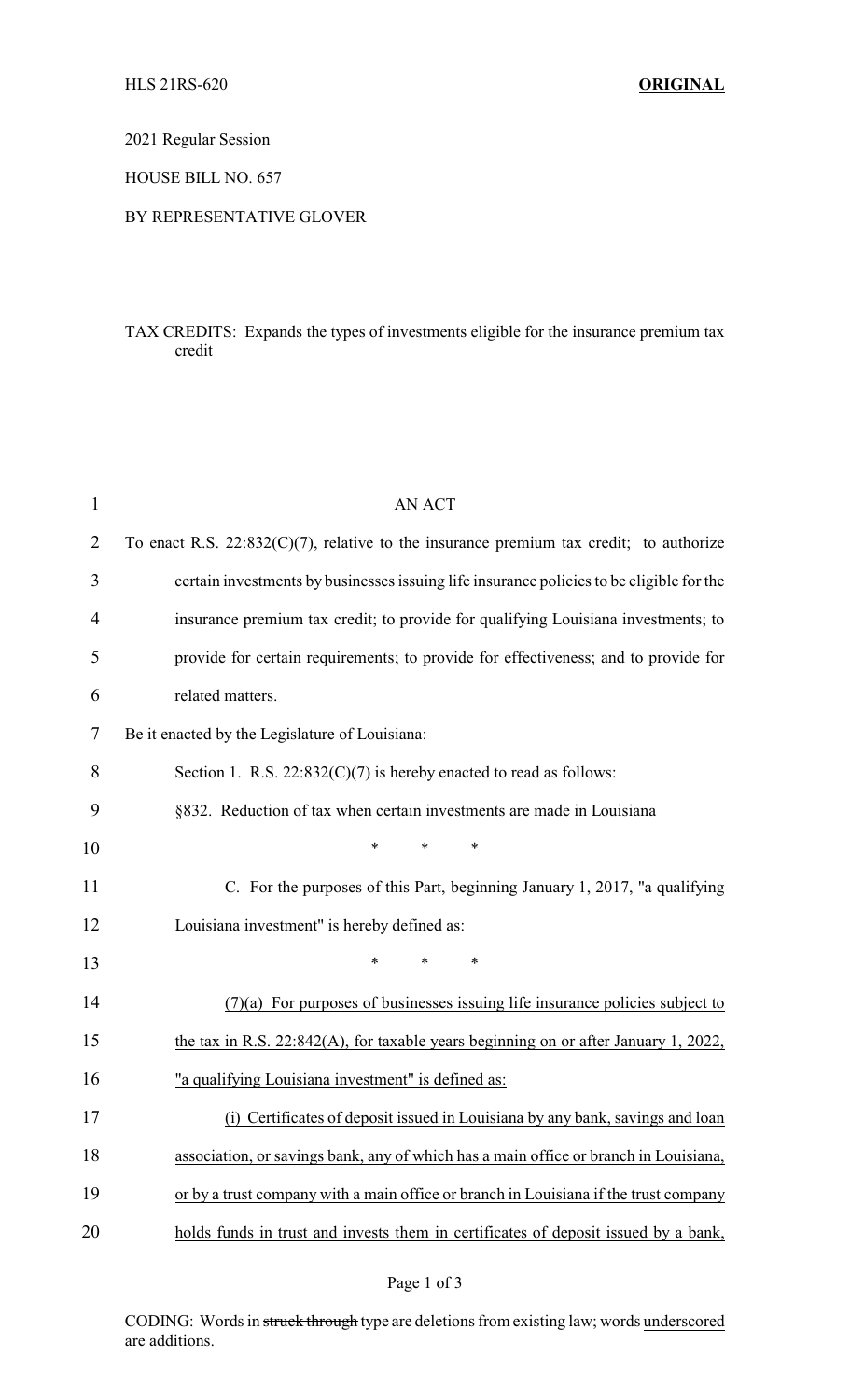## 2021 Regular Session

#### HOUSE BILL NO. 657

#### BY REPRESENTATIVE GLOVER

## TAX CREDITS: Expands the types of investments eligible for the insurance premium tax credit

| $\mathbf{1}$   | <b>AN ACT</b>                                                                             |
|----------------|-------------------------------------------------------------------------------------------|
| $\overline{2}$ | To enact R.S. $22:832(C)(7)$ , relative to the insurance premium tax credit; to authorize |
| 3              | certain investments by businesses issuing life insurance policies to be eligible for the  |
| 4              | insurance premium tax credit; to provide for qualifying Louisiana investments; to         |
| 5              | provide for certain requirements; to provide for effectiveness; and to provide for        |
| 6              | related matters.                                                                          |
| 7              | Be it enacted by the Legislature of Louisiana:                                            |
| 8              | Section 1. R.S. $22:832(C)(7)$ is hereby enacted to read as follows:                      |
| 9              | §832. Reduction of tax when certain investments are made in Louisiana                     |
| 10             | *<br>*<br>*                                                                               |
| 11             | C. For the purposes of this Part, beginning January 1, 2017, "a qualifying                |
| 12             | Louisiana investment" is hereby defined as:                                               |
| 13             | ∗<br>*<br>*                                                                               |
| 14             | $(7)(a)$ For purposes of businesses issuing life insurance policies subject to            |
| 15             | the tax in R.S. $22:842(A)$ , for taxable years beginning on or after January 1, $2022$ , |
| 16             | "a qualifying Louisiana investment" is defined as:                                        |
| 17             | (i) Certificates of deposit issued in Louisiana by any bank, savings and loan             |
| 18             | association, or savings bank, any of which has a main office or branch in Louisiana,      |
| 19             | or by a trust company with a main office or branch in Louisiana if the trust company      |
| 20             | holds funds in trust and invests them in certificates of deposit issued by a bank,        |

# Page 1 of 3

CODING: Words in struck through type are deletions from existing law; words underscored are additions.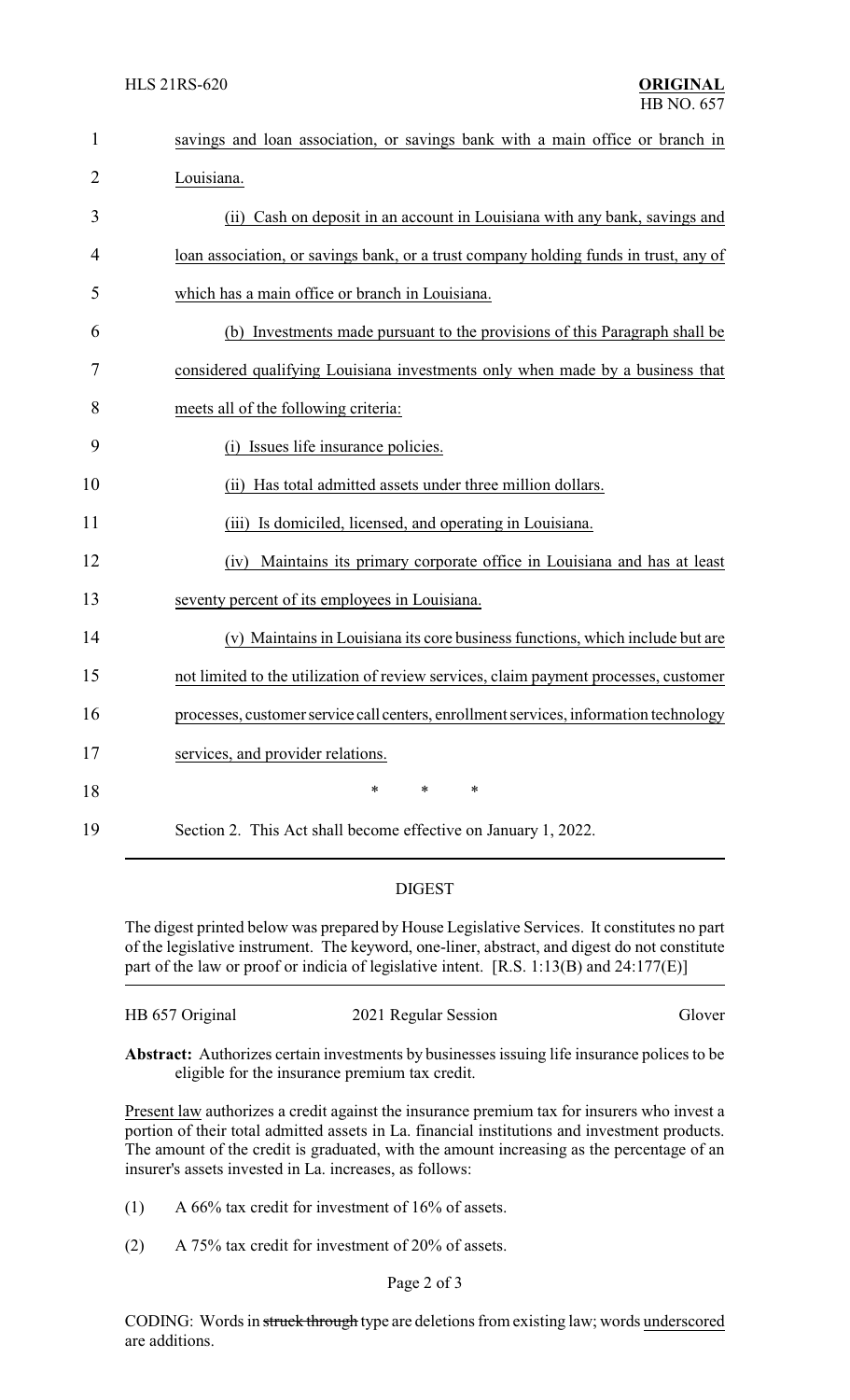| $\mathbf{1}$   | savings and loan association, or savings bank with a main office or branch in         |
|----------------|---------------------------------------------------------------------------------------|
| $\overline{2}$ | Louisiana.                                                                            |
| 3              | (ii) Cash on deposit in an account in Louisiana with any bank, savings and            |
| 4              | loan association, or savings bank, or a trust company holding funds in trust, any of  |
| 5              | which has a main office or branch in Louisiana.                                       |
| 6              | (b) Investments made pursuant to the provisions of this Paragraph shall be            |
| 7              | considered qualifying Louisiana investments only when made by a business that         |
| 8              | meets all of the following criteria:                                                  |
| 9              | (i) Issues life insurance policies.                                                   |
| 10             | (ii) Has total admitted assets under three million dollars.                           |
| 11             | (iii) Is domiciled, licensed, and operating in Louisiana.                             |
| 12             | Maintains its primary corporate office in Louisiana and has at least<br>(iv)          |
| 13             | seventy percent of its employees in Louisiana.                                        |
| 14             | (v) Maintains in Louisiana its core business functions, which include but are         |
| 15             | not limited to the utilization of review services, claim payment processes, customer  |
| 16             | processes, customer service call centers, enrollment services, information technology |
| 17             | services, and provider relations.                                                     |
| 18             | $\ast$<br>*<br>$\ast$                                                                 |
| 19             | Section 2. This Act shall become effective on January 1, 2022.                        |

## DIGEST

The digest printed below was prepared by House Legislative Services. It constitutes no part of the legislative instrument. The keyword, one-liner, abstract, and digest do not constitute part of the law or proof or indicia of legislative intent. [R.S. 1:13(B) and 24:177(E)]

| HB 657 Original | 2021 Regular Session | Glover |
|-----------------|----------------------|--------|
|-----------------|----------------------|--------|

**Abstract:** Authorizes certain investments by businesses issuing life insurance polices to be eligible for the insurance premium tax credit.

Present law authorizes a credit against the insurance premium tax for insurers who invest a portion of their total admitted assets in La. financial institutions and investment products. The amount of the credit is graduated, with the amount increasing as the percentage of an insurer's assets invested in La. increases, as follows:

(1) A  $66\%$  tax credit for investment of  $16\%$  of assets.

(2) A 75% tax credit for investment of 20% of assets.

CODING: Words in struck through type are deletions from existing law; words underscored are additions.